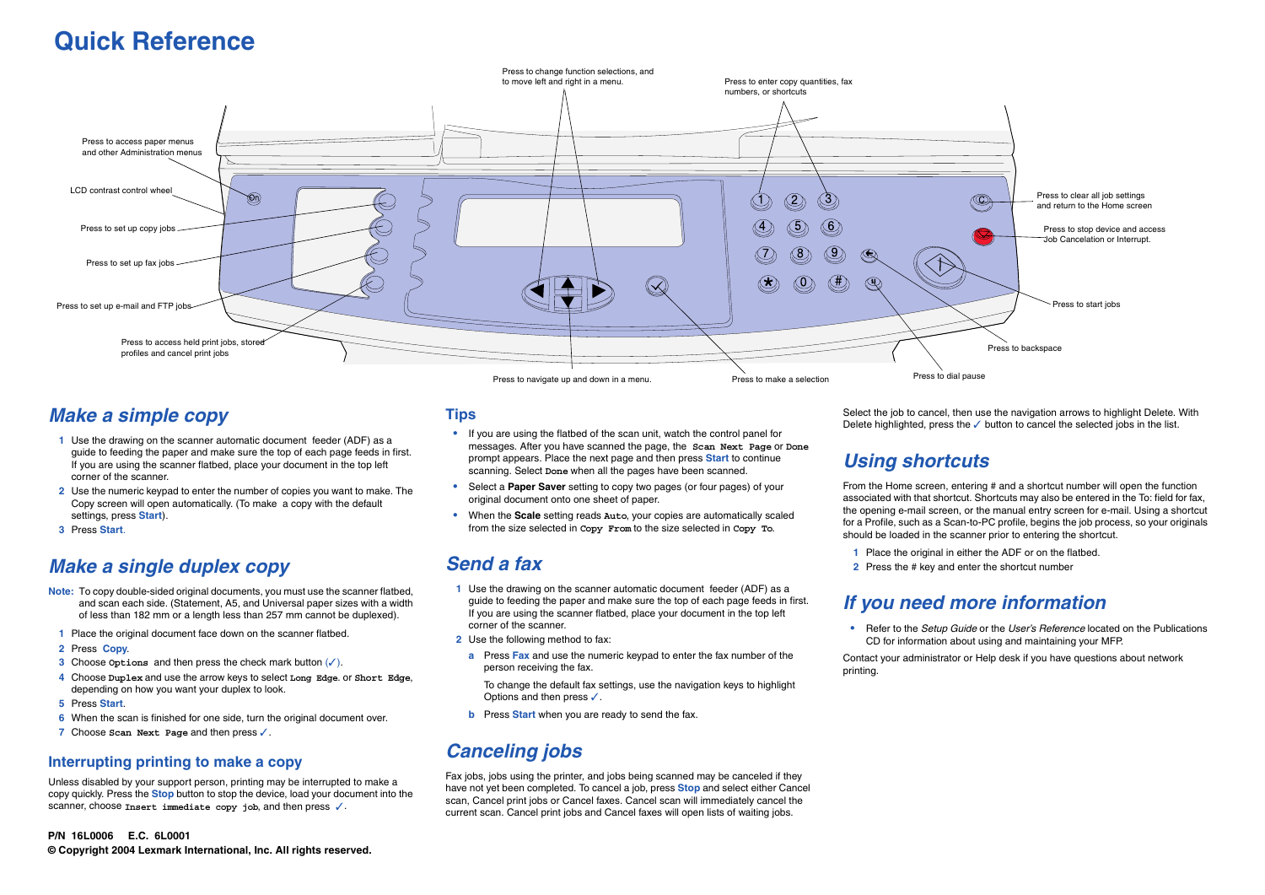## *Make a simple copy*

- **1** Use the drawing on the scanner automatic document feeder (ADF) as a guide to feeding the paper and make sure the top of each page feeds in first. If you are using the scanner flatbed, place your document in the top left corner of the scanner.
- **2** Use the numeric keypad to enter the number of copies you want to make. The Copy screen will open automatically. (To make a copy with the default settings, press **Start**).
- **3** Press **Start**.

# *Make a single duplex copy*

Unless disabled by your support person, printing may be interrupted to make a copy quickly. Press the **Stop** button to stop the device, load your document into the scanner, choose *Insert immediate copy job*, and then press √.

- **Note:** To copy double-sided original documents, you must use the scanner flatbed, and scan each side. (Statement, A5, and Universal paper sizes with a width of less than 182 mm or a length less than 257 mm cannot be duplexed).
- **1** Place the original document face down on the scanner flatbed.
- **2** Press **Copy**.
- **3** Choose **Options** and then press the check mark button (✓).
- **4** Choose **Duplex** and use the arrow keys to select **Long Edge**. or **Short Edge**, depending on how you want your duplex to look.
- **5** Press **Start**.
- **6** When the scan is finished for one side, turn the original document over.
- **7** Choose **Scan Next Page** and then press ✓.

#### **Interrupting printing to make a copy**

To change the default fax settings, use the navigation keys to highlight Options and then press ✓.

#### **Tips**

Select the job to cancel, then use the navigation arrows to highlight Delete. With Delete highlighted, press the ✓ button to cancel the selected jobs in the list.

- **•** If you are using the flatbed of the scan unit, watch the control panel for messages. After you have scanned the page, the **Scan Next Page** or **Done** prompt appears. Place the next page and then press **Start** to continue scanning. Select **Done** when all the pages have been scanned.
- **•** Select a **Paper Saver** setting to copy two pages (or four pages) of your original document onto one sheet of paper.
- **•** When the **Scale** setting reads **Auto**, your copies are automatically scaled from the size selected in **Copy From** to the size selected in **Copy To**.

# *Send a fax*

- **1** Use the drawing on the scanner automatic document feeder (ADF) as a guide to feeding the paper and make sure the top of each page feeds in first. If you are using the scanner flatbed, place your document in the top left corner of the scanner.
- **2** Use the following method to fax:
	- **a** Press **Fax** and use the numeric keypad to enter the fax number of the person receiving the fax.

**b** Press **Start** when you are ready to send the fax.

# *Canceling jobs*

Fax jobs, jobs using the printer, and jobs being scanned may be canceled if they have not yet been completed. To cancel a job, press **Stop** and select either Cancel scan, Cancel print jobs or Cancel faxes. Cancel scan will immediately cancel the current scan. Cancel print jobs and Cancel faxes will open lists of waiting jobs.

# *Using shortcuts*

From the Home screen, entering # and a shortcut number will open the function associated with that shortcut. Shortcuts may also be entered in the To: field for fax, the opening e-mail screen, or the manual entry screen for e-mail. Using a shortcut for a Profile, such as a Scan-to-PC profile, begins the job process, so your originals should be loaded in the scanner prior to entering the shortcut.

- 
- 

 **1** Place the original in either the ADF or on the flatbed.

 **2** Press the # key and enter the shortcut number

# *If you need more information*

**•** Refer to the *Setup Guide* or the *User's Reference* located on the Publications CD for information about using and maintaining your MFP.

Contact your administrator or Help desk if you have questions about network

printing.



# **Quick Reference**

#### **P/N 16L0006 E.C. 6L0001**

**© Copyright 2004 Lexmark International, Inc. All rights reserved.**